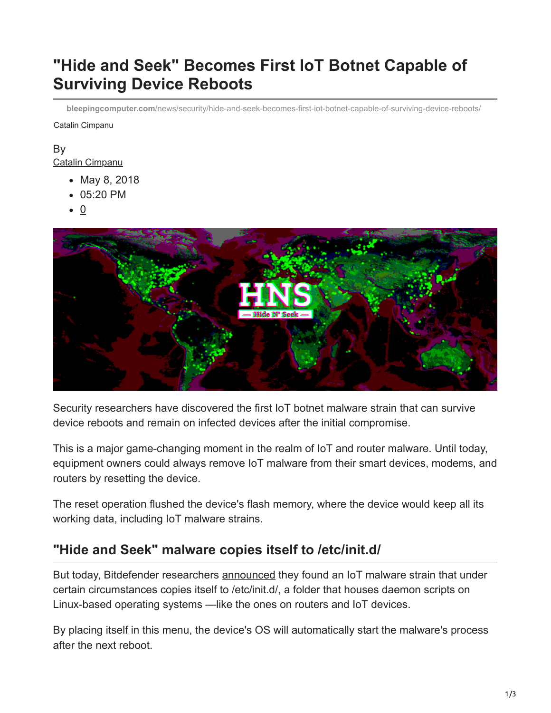# **"Hide and Seek" Becomes First IoT Botnet Capable of Surviving Device Reboots**

**bleepingcomputer.com**[/news/security/hide-and-seek-becomes-first-iot-botnet-capable-of-surviving-device-reboots/](https://www.bleepingcomputer.com/news/security/hide-and-seek-becomes-first-iot-botnet-capable-of-surviving-device-reboots/)

Catalin Cimpanu

### By

[Catalin Cimpanu](https://www.bleepingcomputer.com/author/catalin-cimpanu/)

- May 8, 2018
- 05:20 PM
- $\bullet$  0



Security researchers have discovered the first IoT botnet malware strain that can survive device reboots and remain on infected devices after the initial compromise.

This is a major game-changing moment in the realm of IoT and router malware. Until today, equipment owners could always remove IoT malware from their smart devices, modems, and routers by resetting the device.

The reset operation flushed the device's flash memory, where the device would keep all its working data, including IoT malware strains.

### **"Hide and Seek" malware copies itself to /etc/init.d/**

But today, Bitdefender researchers [announced](https://labs.bitdefender.com/2018/05/hide-and-seek-iot-botnet-resurfaces-with-new-tricks-persistence/) they found an IoT malware strain that under certain circumstances copies itself to /etc/init.d/, a folder that houses daemon scripts on Linux-based operating systems —like the ones on routers and IoT devices.

By placing itself in this menu, the device's OS will automatically start the malware's process after the next reboot.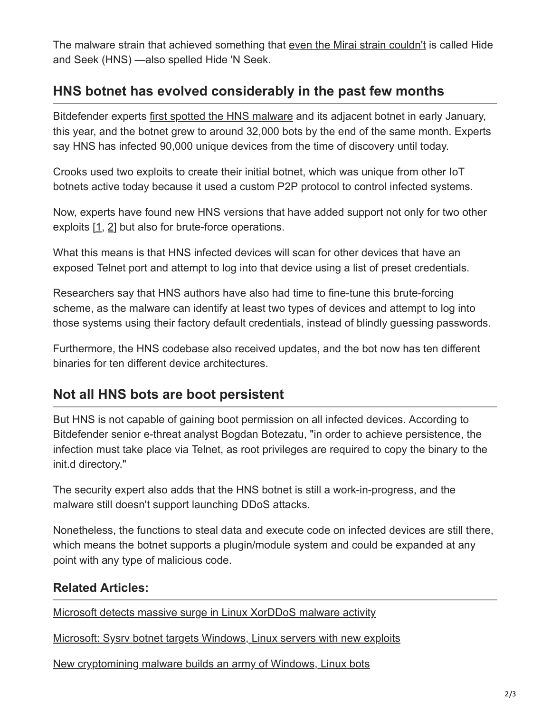The malware strain that achieved something that [even the Mirai strain couldn't](https://www.bleepingcomputer.com/news/security/new-vulnerability-could-give-mirai-the-ability-to-survive-device-reboots/) is called Hide and Seek (HNS) —also spelled Hide 'N Seek.

## **HNS botnet has evolved considerably in the past few months**

Bitdefender experts [first spotted the HNS malware](https://www.bleepingcomputer.com/news/security/new-hns-iot-botnet-has-already-amassed-14k-bots/) and its adjacent botnet in early January, this year, and the botnet grew to around 32,000 bots by the end of the same month. Experts say HNS has infected 90,000 unique devices from the time of discovery until today.

Crooks used two exploits to create their initial botnet, which was unique from other IoT botnets active today because it used a custom P2P protocol to control infected systems.

Now, experts have found new HNS versions that have added support not only for two other exploits [\[1](https://vuldb.com/?id.92536), [2](http://www.wanda25.de/wansview_ncs601w.html)] but also for brute-force operations.

What this means is that HNS infected devices will scan for other devices that have an exposed Telnet port and attempt to log into that device using a list of preset credentials.

Researchers say that HNS authors have also had time to fine-tune this brute-forcing scheme, as the malware can identify at least two types of devices and attempt to log into those systems using their factory default credentials, instead of blindly guessing passwords.

Furthermore, the HNS codebase also received updates, and the bot now has ten different binaries for ten different device architectures.

## **Not all HNS bots are boot persistent**

But HNS is not capable of gaining boot permission on all infected devices. According to Bitdefender senior e-threat analyst Bogdan Botezatu, "in order to achieve persistence, the infection must take place via Telnet, as root privileges are required to copy the binary to the init.d directory."

The security expert also adds that the HNS botnet is still a work-in-progress, and the malware still doesn't support launching DDoS attacks.

Nonetheless, the functions to steal data and execute code on infected devices are still there, which means the botnet supports a plugin/module system and could be expanded at any point with any type of malicious code.

#### **Related Articles:**

[Microsoft detects massive surge in Linux XorDDoS malware activity](https://www.bleepingcomputer.com/news/security/microsoft-detects-massive-surge-in-linux-xorddos-malware-activity/)

[Microsoft: Sysrv botnet targets Windows, Linux servers with new exploits](https://www.bleepingcomputer.com/news/security/microsoft-sysrv-botnet-targets-windows-linux-servers-with-new-exploits/)

[New cryptomining malware builds an army of Windows, Linux bots](https://www.bleepingcomputer.com/news/security/new-cryptomining-malware-builds-an-army-of-windows-linux-bots/)